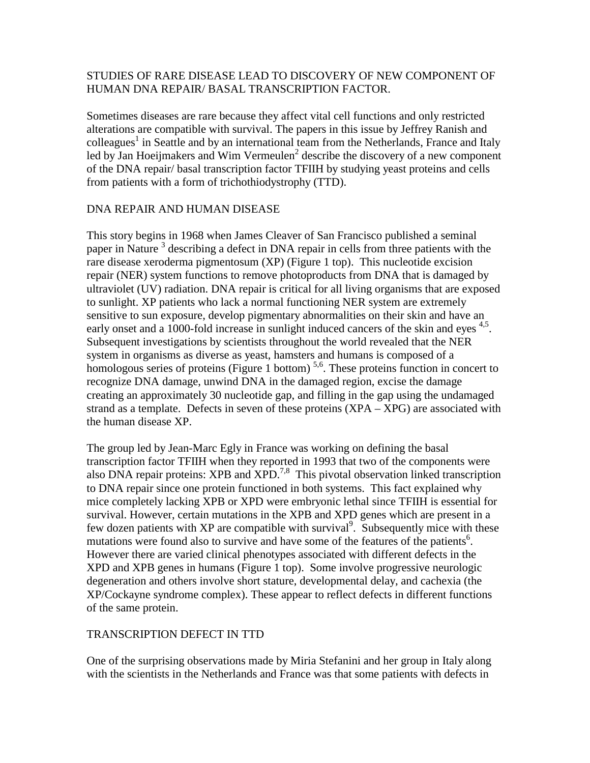## STUDIES OF RARE DISEASE LEAD TO DISCOVERY OF NEW COMPONENT OF HUMAN DNA REPAIR/ BASAL TRANSCRIPTION FACTOR.

Sometimes diseases are rare because they affect vital cell functions and only restricted alterations are compatible with survival. The papers in this issue by Jeffrey Ranish and colleagues<sup>1</sup> in Seattle and by an international team from the Netherlands, France and Italy led by Jan Hoeijmakers and Wim Vermeulen<sup>2</sup> describe the discovery of a new component of the DNA repair/ basal transcription factor TFIIH by studying yeast proteins and cells from patients with a form of trichothiodystrophy (TTD).

## DNA REPAIR AND HUMAN DISEASE

This story begins in 1968 when James Cleaver of San Francisco published a seminal paper in Nature<sup>3</sup> describing a defect in DNA repair in cells from three patients with the rare disease xeroderma pigmentosum (XP) (Figure 1 top). This nucleotide excision repair (NER) system functions to remove photoproducts from DNA that is damaged by ultraviolet (UV) radiation. DNA repair is critical for all living organisms that are exposed to sunlight. XP patients who lack a normal functioning NER system are extremely sensitive to sun exposure, develop pigmentary abnormalities on their skin and have an early onset and a 1000-fold increase in sunlight induced cancers of the skin and eyes <sup>4,5</sup>. Subsequent investigations by scientists throughout the world revealed that the NER system in organisms as diverse as yeast, hamsters and humans is composed of a homologous series of proteins (Figure 1 bottom)<sup>5,6</sup>. These proteins function in concert to recognize DNA damage, unwind DNA in the damaged region, excise the damage creating an approximately 30 nucleotide gap, and filling in the gap using the undamaged strand as a template. Defects in seven of these proteins (XPA – XPG) are associated with the human disease XP.

The group led by Jean-Marc Egly in France was working on defining the basal transcription factor TFIIH when they reported in 1993 that two of the components were also DNA repair proteins: XPB and  $\overline{XPD}^{7,8}$  This pivotal observation linked transcription to DNA repair since one protein functioned in both systems. This fact explained why mice completely lacking XPB or XPD were embryonic lethal since TFIIH is essential for survival. However, certain mutations in the XPB and XPD genes which are present in a few dozen patients with XP are compatible with survival<sup>9</sup>. Subsequently mice with these mutations were found also to survive and have some of the features of the patients<sup>6</sup>. However there are varied clinical phenotypes associated with different defects in the XPD and XPB genes in humans (Figure 1 top). Some involve progressive neurologic degeneration and others involve short stature, developmental delay, and cachexia (the XP/Cockayne syndrome complex). These appear to reflect defects in different functions of the same protein.

## TRANSCRIPTION DEFECT IN TTD

One of the surprising observations made by Miria Stefanini and her group in Italy along with the scientists in the Netherlands and France was that some patients with defects in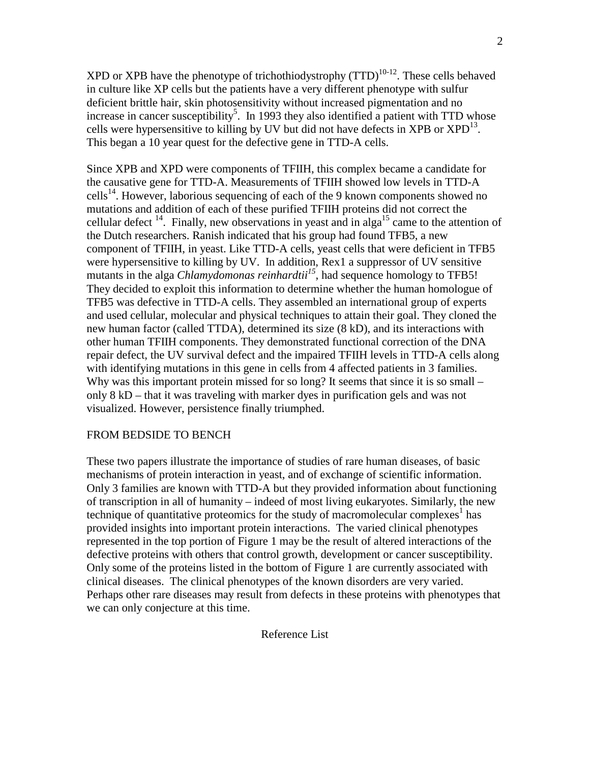XPD or XPB have the phenotype of trichothiodystrophy  $(TTD)^{10-12}$ . These cells behaved in culture like XP cells but the patients have a very different phenotype with sulfur deficient brittle hair, skin photosensitivity without increased pigmentation and no increase in cancer susceptibility<sup>5</sup>. In 1993 they also identified a patient with TTD whose cells were hypersensitive to killing by UV but did not have defects in XPB or  $XPD<sup>13</sup>$ . This began a 10 year quest for the defective gene in TTD-A cells.

Since XPB and XPD were components of TFIIH, this complex became a candidate for the causative gene for TTD-A. Measurements of TFIIH showed low levels in TTD-A cells<sup>14</sup>. However, laborious sequencing of each of the 9 known components showed no mutations and addition of each of these purified TFIIH proteins did not correct the cellular defect  $14$ . Finally, new observations in yeast and in alga<sup>15</sup> came to the attention of the Dutch researchers. Ranish indicated that his group had found TFB5, a new component of TFIIH, in yeast. Like TTD-A cells, yeast cells that were deficient in TFB5 were hypersensitive to killing by UV. In addition, Rex1 a suppressor of UV sensitive mutants in the alga *Chlamydomonas reinhardtii*<sup>15</sup>, had sequence homology to TFB5! They decided to exploit this information to determine whether the human homologue of TFB5 was defective in TTD-A cells. They assembled an international group of experts and used cellular, molecular and physical techniques to attain their goal. They cloned the new human factor (called TTDA), determined its size (8 kD), and its interactions with other human TFIIH components. They demonstrated functional correction of the DNA repair defect, the UV survival defect and the impaired TFIIH levels in TTD-A cells along with identifying mutations in this gene in cells from 4 affected patients in 3 families. Why was this important protein missed for so long? It seems that since it is so small – only 8 kD – that it was traveling with marker dyes in purification gels and was not visualized. However, persistence finally triumphed.

## FROM BEDSIDE TO BENCH

These two papers illustrate the importance of studies of rare human diseases, of basic mechanisms of protein interaction in yeast, and of exchange of scientific information. Only 3 families are known with TTD-A but they provided information about functioning of transcription in all of humanity – indeed of most living eukaryotes. Similarly, the new technique of quantitative proteomics for the study of macromolecular complexes<sup>1</sup> has provided insights into important protein interactions. The varied clinical phenotypes represented in the top portion of Figure 1 may be the result of altered interactions of the defective proteins with others that control growth, development or cancer susceptibility. Only some of the proteins listed in the bottom of Figure 1 are currently associated with clinical diseases. The clinical phenotypes of the known disorders are very varied. Perhaps other rare diseases may result from defects in these proteins with phenotypes that we can only conjecture at this time.

Reference List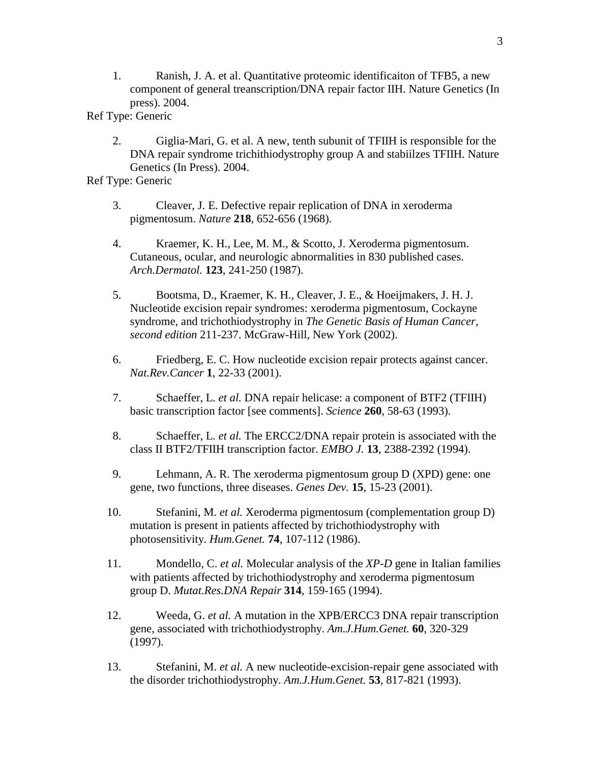- 1. Ranish, J. A. et al. Quantitative proteomic identificaiton of TFB5, a new component of general treanscription/DNA repair factor IIH. Nature Genetics (In press). 2004.
- Ref Type: Generic
	- 2. Giglia-Mari, G. et al. A new, tenth subunit of TFIIH is responsible for the DNA repair syndrome trichithiodystrophy group A and stabiilzes TFIIH. Nature Genetics (In Press). 2004.
- Ref Type: Generic
	- 3. Cleaver, J. E. Defective repair replication of DNA in xeroderma pigmentosum. *Nature* **218**, 652-656 (1968).
	- 4. Kraemer, K. H., Lee, M. M., & Scotto, J. Xeroderma pigmentosum. Cutaneous, ocular, and neurologic abnormalities in 830 published cases. *Arch.Dermatol.* **123**, 241-250 (1987).
	- 5. Bootsma, D., Kraemer, K. H., Cleaver, J. E., & Hoeijmakers, J. H. J. Nucleotide excision repair syndromes: xeroderma pigmentosum, Cockayne syndrome, and trichothiodystrophy in *The Genetic Basis of Human Cancer, second edition* 211-237. McGraw-Hill, New York (2002).
	- 6. Friedberg, E. C. How nucleotide excision repair protects against cancer. *Nat.Rev.Cancer* **1**, 22-33 (2001).
	- 7. Schaeffer, L. *et al.* DNA repair helicase: a component of BTF2 (TFIIH) basic transcription factor [see comments]. *Science* **260**, 58-63 (1993).
	- 8. Schaeffer, L. *et al.* The ERCC2/DNA repair protein is associated with the class II BTF2/TFIIH transcription factor. *EMBO J.* **13**, 2388-2392 (1994).
	- 9. Lehmann, A. R. The xeroderma pigmentosum group D (XPD) gene: one gene, two functions, three diseases. *Genes Dev.* **15**, 15-23 (2001).
	- 10. Stefanini, M. *et al.* Xeroderma pigmentosum (complementation group D) mutation is present in patients affected by trichothiodystrophy with photosensitivity. *Hum.Genet.* **74**, 107-112 (1986).
	- 11. Mondello, C. *et al.* Molecular analysis of the *XP-D* gene in Italian families with patients affected by trichothiodystrophy and xeroderma pigmentosum group D. *Mutat.Res.DNA Repair* **314**, 159-165 (1994).
	- 12. Weeda, G. *et al.* A mutation in the XPB/ERCC3 DNA repair transcription gene, associated with trichothiodystrophy. *Am.J.Hum.Genet.* **60**, 320-329 (1997).
	- 13. Stefanini, M. *et al.* A new nucleotide-excision-repair gene associated with the disorder trichothiodystrophy. *Am.J.Hum.Genet.* **53**, 817-821 (1993).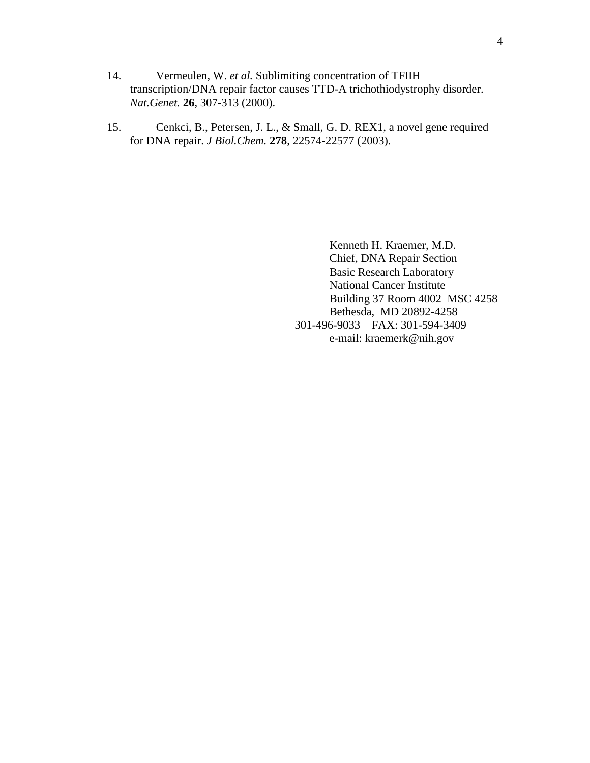- 14. Vermeulen, W. *et al.* Sublimiting concentration of TFIIH transcription/DNA repair factor causes TTD-A trichothiodystrophy disorder. *Nat.Genet.* **26**, 307-313 (2000).
- 15. Cenkci, B., Petersen, J. L., & Small, G. D. REX1, a novel gene required for DNA repair. *J Biol.Chem.* **278**, 22574-22577 (2003).

 Kenneth H. Kraemer, M.D. Chief, DNA Repair Section Basic Research Laboratory National Cancer Institute Building 37 Room 4002 MSC 4258 Bethesda, MD 20892-4258 301-496-9033 FAX: 301-594-3409 e-mail: kraemerk@nih.gov